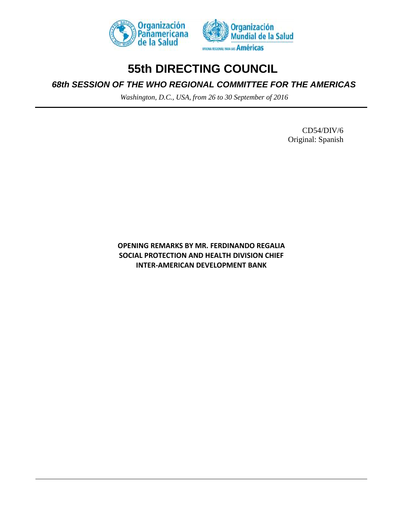

## **55th DIRECTING COUNCIL**

## *68th SESSION OF THE WHO REGIONAL COMMITTEE FOR THE AMERICAS*

*Washington, D.C., USA, from 26 to 30 September of 2016* 

CD54/DIV/6 Original: Spanish

**OPENING REMARKS BY MR. FERDINANDO REGALIA SOCIAL PROTECTION AND HEALTH DIVISION CHIEF INTER-AMERICAN DEVELOPMENT BANK**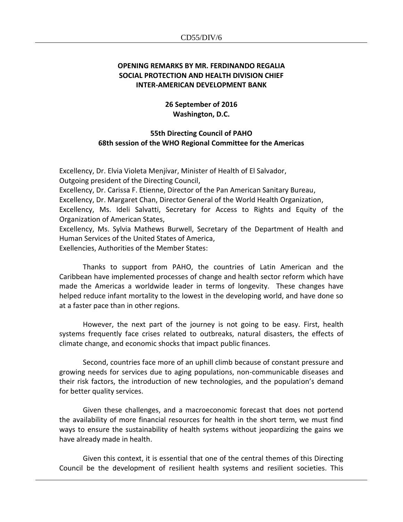## **OPENING REMARKS BY MR. FERDINANDO REGALIA SOCIAL PROTECTION AND HEALTH DIVISION CHIEF INTER-AMERICAN DEVELOPMENT BANK**

**26 September of 2016 Washington, D.C.**

## **55th Directing Council of PAHO 68th session of the WHO Regional Committee for the Americas**

Excellency, Dr. Elvia Violeta Menjívar, Minister of Health of El Salvador, Outgoing president of the Directing Council, Excellency, Dr. Carissa F. Etienne, Director of the Pan American Sanitary Bureau, Excellency, Dr. Margaret Chan, Director General of the World Health Organization, Excellency, Ms. Ideli Salvatti, Secretary for Access to Rights and Equity of the Organization of American States, Excellency, Ms. Sylvia Mathews Burwell, Secretary of the Department of Health and Human Services of the United States of America,

Exellencies, Authorities of the Member States:

Thanks to support from PAHO, the countries of Latin American and the Caribbean have implemented processes of change and health sector reform which have made the Americas a worldwide leader in terms of longevity. These changes have helped reduce infant mortality to the lowest in the developing world, and have done so at a faster pace than in other regions.

However, the next part of the journey is not going to be easy. First, health systems frequently face crises related to outbreaks, natural disasters, the effects of climate change, and economic shocks that impact public finances.

Second, countries face more of an uphill climb because of constant pressure and growing needs for services due to aging populations, non-communicable diseases and their risk factors, the introduction of new technologies, and the population's demand for better quality services.

Given these challenges, and a macroeconomic forecast that does not portend the availability of more financial resources for health in the short term, we must find ways to ensure the sustainability of health systems without jeopardizing the gains we have already made in health.

Given this context, it is essential that one of the central themes of this Directing Council be the development of resilient health systems and resilient societies. This